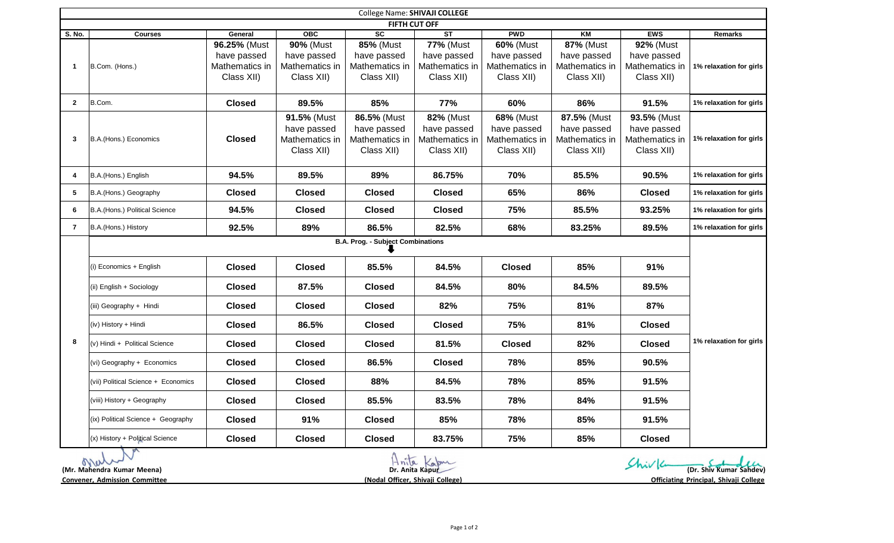| College Name: SHIVAJI COLLEGE |                                          |                                                             |                                                                 |                                                                 |                                                                 |                                                                 |                                                                 |                                                            |                         |
|-------------------------------|------------------------------------------|-------------------------------------------------------------|-----------------------------------------------------------------|-----------------------------------------------------------------|-----------------------------------------------------------------|-----------------------------------------------------------------|-----------------------------------------------------------------|------------------------------------------------------------|-------------------------|
| FIFTH CUT OFF                 |                                          |                                                             |                                                                 |                                                                 |                                                                 |                                                                 |                                                                 |                                                            |                         |
| S. No.                        | <b>Courses</b>                           | General                                                     | OBC                                                             | $\overline{sc}$                                                 | $\overline{\text{ST}}$                                          | <b>PWD</b>                                                      | KM                                                              | <b>EWS</b>                                                 | <b>Remarks</b>          |
| $\mathbf{1}$                  | B.Com. (Hons.)                           | 96.25% (Must<br>have passed<br>Mathematics in<br>Class XII) | <b>90% (Must</b><br>have passed<br>Mathematics in<br>Class XII) | <b>85% (Must</b><br>have passed<br>Mathematics in<br>Class XII) | <b>77%</b> (Must<br>have passed<br>Mathematics in<br>Class XII) | <b>60% (Must</b><br>have passed<br>Mathematics in<br>Class XII) | <b>87% (Must</b><br>have passed<br>Mathematics in<br>Class XII) | 92% (Must<br>have passed<br>Mathematics in<br>Class XII)   | 1% relaxation for girls |
| $\mathbf{2}$                  | B.Com.                                   | <b>Closed</b>                                               | 89.5%                                                           | 85%                                                             | 77%                                                             | 60%                                                             | 86%                                                             | 91.5%                                                      | 1% relaxation for girls |
| 3                             | B.A.(Hons.) Economics                    | <b>Closed</b>                                               | 91.5% (Must<br>have passed<br>Mathematics in<br>Class XII)      | 86.5% (Must<br>have passed<br>Mathematics in<br>Class XII)      | <b>82% (Must</b><br>have passed<br>Mathematics in<br>Class XII) | <b>68% (Must</b><br>have passed<br>Mathematics in<br>Class XII) | 87.5% (Must<br>have passed<br>Mathematics in<br>Class XII)      | 93.5% (Must<br>have passed<br>Mathematics in<br>Class XII) | 1% relaxation for girls |
| 4                             | B.A.(Hons.) English                      | 94.5%                                                       | 89.5%                                                           | 89%                                                             | 86.75%                                                          | 70%                                                             | 85.5%                                                           | 90.5%                                                      | 1% relaxation for girls |
| 5                             | B.A.(Hons.) Geography                    | <b>Closed</b>                                               | <b>Closed</b>                                                   | <b>Closed</b>                                                   | <b>Closed</b>                                                   | 65%                                                             | 86%                                                             | <b>Closed</b>                                              | 1% relaxation for girls |
| 6                             | B.A.(Hons.) Political Science            | 94.5%                                                       | <b>Closed</b>                                                   | <b>Closed</b>                                                   | <b>Closed</b>                                                   | 75%                                                             | 85.5%                                                           | 93.25%                                                     | 1% relaxation for girls |
| 7                             | B.A.(Hons.) History                      | 92.5%                                                       | 89%                                                             | 86.5%                                                           | 82.5%                                                           | 68%                                                             | 83.25%                                                          | 89.5%                                                      | 1% relaxation for girls |
|                               | <b>B.A. Prog. - Subject Combinations</b> |                                                             |                                                                 |                                                                 |                                                                 |                                                                 |                                                                 |                                                            |                         |
|                               | (i) Economics + English                  | <b>Closed</b>                                               | <b>Closed</b>                                                   | 85.5%                                                           | 84.5%                                                           | <b>Closed</b>                                                   | 85%                                                             | 91%                                                        | 1% relaxation for girls |
|                               | (ii) English + Sociology                 | <b>Closed</b>                                               | 87.5%                                                           | <b>Closed</b>                                                   | 84.5%                                                           | 80%                                                             | 84.5%                                                           | 89.5%                                                      |                         |
|                               | (iii) Geography + Hindi                  | <b>Closed</b>                                               | <b>Closed</b>                                                   | <b>Closed</b>                                                   | 82%                                                             | 75%                                                             | 81%                                                             | 87%                                                        |                         |
|                               | (iv) History + Hindi                     | <b>Closed</b>                                               | 86.5%                                                           | <b>Closed</b>                                                   | <b>Closed</b>                                                   | 75%                                                             | 81%                                                             | <b>Closed</b>                                              |                         |
| 8                             | (v) Hindi + Political Science            | <b>Closed</b>                                               | <b>Closed</b>                                                   | <b>Closed</b>                                                   | 81.5%                                                           | Closed                                                          | 82%                                                             | <b>Closed</b>                                              |                         |
|                               | (vi) Geography + Economics               | <b>Closed</b>                                               | <b>Closed</b>                                                   | 86.5%                                                           | <b>Closed</b>                                                   | 78%                                                             | 85%                                                             | 90.5%                                                      |                         |
|                               | (vii) Political Science + Economics      | <b>Closed</b>                                               | <b>Closed</b>                                                   | 88%                                                             | 84.5%                                                           | 78%                                                             | 85%                                                             | 91.5%                                                      |                         |
|                               | (viii) History + Geography               | <b>Closed</b>                                               | <b>Closed</b>                                                   | 85.5%                                                           | 83.5%                                                           | 78%                                                             | 84%                                                             | 91.5%                                                      |                         |
|                               | (ix) Political Science + Geography       | <b>Closed</b>                                               | 91%                                                             | <b>Closed</b>                                                   | 85%                                                             | 78%                                                             | 85%                                                             | 91.5%                                                      |                         |
|                               | (x) History + Political Science          | <b>Closed</b>                                               | <b>Closed</b>                                                   | <b>Closed</b>                                                   | 83.75%                                                          | 75%                                                             | 85%                                                             | <b>Closed</b>                                              |                         |

|                                      | nila<br>rapur                    |                                        |
|--------------------------------------|----------------------------------|----------------------------------------|
| (Mr. Mahendra Kumar Meena)           | Dr. Anita Kapur                  | (Dr. Shiv Kumar Sahdev)                |
| <b>Convener, Admission Committee</b> | (Nodal Officer, Shivaji College) | Officiating Principal, Shivaji College |